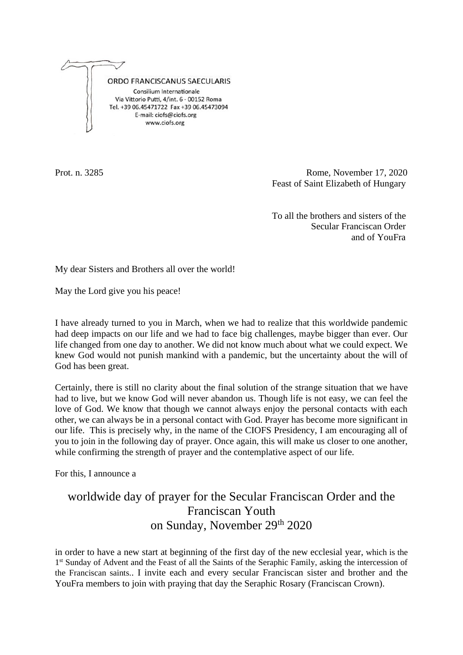

Prot. n. 3285 Rome, November 17, 2020 Feast of Saint Elizabeth of Hungary

> To all the brothers and sisters of the Secular Franciscan Order and of YouFra

My dear Sisters and Brothers all over the world!

May the Lord give you his peace!

I have already turned to you in March, when we had to realize that this worldwide pandemic had deep impacts on our life and we had to face big challenges, maybe bigger than ever. Our life changed from one day to another. We did not know much about what we could expect. We knew God would not punish mankind with a pandemic, but the uncertainty about the will of God has been great.

Certainly, there is still no clarity about the final solution of the strange situation that we have had to live, but we know God will never abandon us. Though life is not easy, we can feel the love of God. We know that though we cannot always enjoy the personal contacts with each other, we can always be in a personal contact with God. Prayer has become more significant in our life. This is precisely why, in the name of the CIOFS Presidency, I am encouraging all of you to join in the following day of prayer. Once again, this will make us closer to one another, while confirming the strength of prayer and the contemplative aspect of our life.

For this, I announce a

## worldwide day of prayer for the Secular Franciscan Order and the Franciscan Youth on Sunday, November 29th 2020

in order to have a new start at beginning of the first day of the new ecclesial year, which is the 1<sup>st</sup> Sunday of Advent and the Feast of all the Saints of the Seraphic Family, asking the intercession of the Franciscan saints.. I invite each and every secular Franciscan sister and brother and the YouFra members to join with praying that day the Seraphic Rosary (Franciscan Crown).